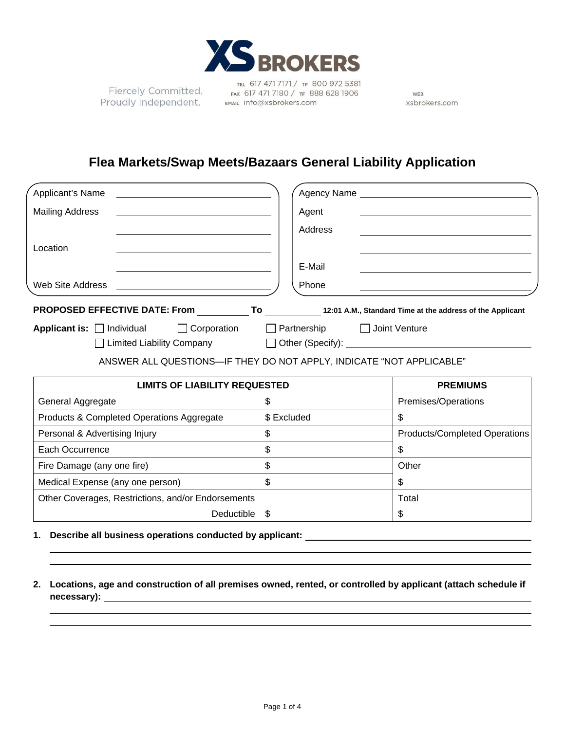

TEL 617 471 7171 / TF 800 972 5381 Fiercely Committed.<br>Proudly Independent. EMAL Info@xsbrokers.com

WEB xsbrokers.com

# **Flea Markets/Swap Meets/Bazaars General Liability Application**

| Applicant's Name<br><u> 1980 - Andrea Andrew Maria (h. 1980).</u>                          |                | Agency Name and the state of the state of the state of the state of the state of the state of the state of the |
|--------------------------------------------------------------------------------------------|----------------|----------------------------------------------------------------------------------------------------------------|
| <b>Mailing Address</b>                                                                     | Agent          |                                                                                                                |
|                                                                                            | Address        |                                                                                                                |
| Location                                                                                   |                |                                                                                                                |
|                                                                                            | E-Mail         |                                                                                                                |
|                                                                                            | Phone          |                                                                                                                |
| PROPOSED EFFECTIVE DATE: From To 12:01 A.M., Standard Time at the address of the Applicant |                |                                                                                                                |
| Applicant is: Individual I Corporation I Partnership I Joint Venture                       |                |                                                                                                                |
|                                                                                            |                |                                                                                                                |
| ANSWER ALL QUESTIONS-IF THEY DO NOT APPLY, INDICATE "NOT APPLICABLE"                       |                |                                                                                                                |
| <b>LIMITS OF LIABILITY REQUESTED</b>                                                       |                | <b>PREMIUMS</b>                                                                                                |
| General Aggregate                                                                          | $\mathfrak{S}$ | Premises/Operations                                                                                            |
| Products & Completed Operations Aggregate                                                  | \$ Excluded    | \$                                                                                                             |
| Personal & Advertising Injury                                                              | $\mathfrak{S}$ | <b>Products/Completed Operations</b>                                                                           |
| Each Occurrence                                                                            | $\mathfrak{L}$ | \$                                                                                                             |
| Fire Damage (any one fire)                                                                 | $\mathfrak{L}$ | Other                                                                                                          |
| Medical Expense (any one person)                                                           | \$             | \$                                                                                                             |
| Other Coverages, Restrictions, and/or Endorsements                                         |                | Total                                                                                                          |
| Deductible                                                                                 |                | \$                                                                                                             |

- **1. Describe all business operations conducted by applicant:**
- **2. Locations, age and construction of all premises owned, rented, or controlled by applicant (attach schedule if necessary):**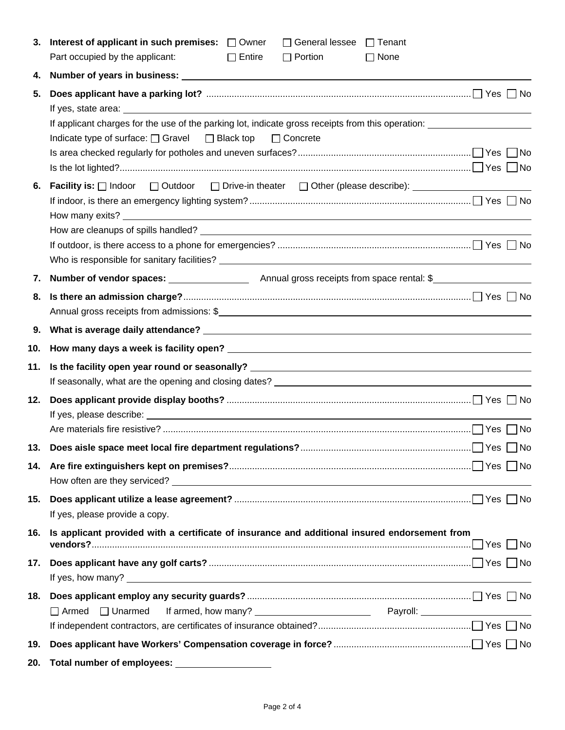| 3.         | Interest of applicant in such premises: $\Box$ Owner<br>$\Box$ General lessee $\Box$ Tenant<br>Part occupied by the applicant:<br>$\Box$ Entire<br>$\Box$ Portion<br>$\Box$ None |
|------------|----------------------------------------------------------------------------------------------------------------------------------------------------------------------------------|
| 4.         |                                                                                                                                                                                  |
| 5.         | If applicant charges for the use of the parking lot, indicate gross receipts from this operation:<br>Indicate type of surface: $\Box$ Gravel $\Box$ Black top<br>$\Box$ Concrete |
| 6.         | <b>Facility is:</b> $\Box$ Indoor $\Box$ Outdoor $\Box$ Drive-in theater $\Box$ Other (please describe): _________________________<br>How many exits?                            |
| 7.         |                                                                                                                                                                                  |
| 8.         |                                                                                                                                                                                  |
| 9.         |                                                                                                                                                                                  |
| 10.        |                                                                                                                                                                                  |
| 11.        |                                                                                                                                                                                  |
| 12.        |                                                                                                                                                                                  |
|            |                                                                                                                                                                                  |
| 13.<br>14. |                                                                                                                                                                                  |
| 15.        | If yes, please provide a copy.                                                                                                                                                   |
| 16.        | Is applicant provided with a certificate of insurance and additional insured endorsement from                                                                                    |
| 17.        |                                                                                                                                                                                  |
| 18.        | $\Box$ Armed $\Box$ Unarmed                                                                                                                                                      |
| 19.        |                                                                                                                                                                                  |
| 20.        | Total number of employees: _____________________                                                                                                                                 |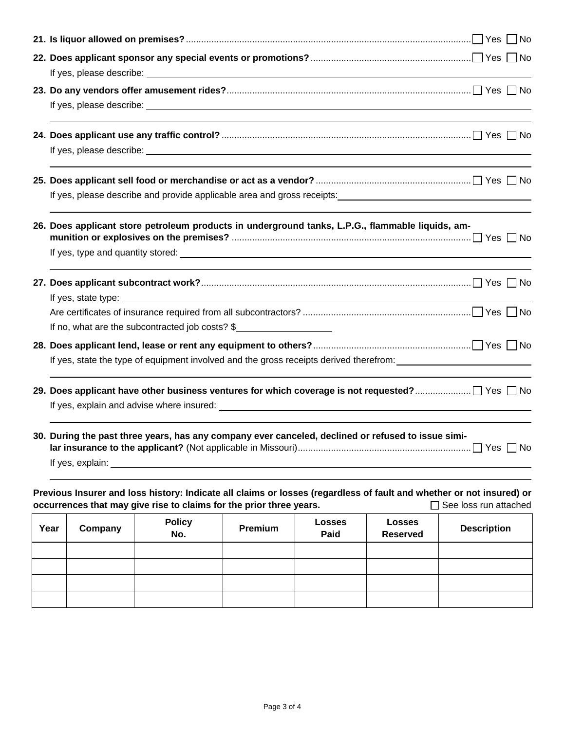|                                                                                                                          |                                                                                                                |         | 26. Does applicant store petroleum products in underground tanks, L.P.G., flammable liquids, am-                                                                                            |                |               |               |                              |  |
|--------------------------------------------------------------------------------------------------------------------------|----------------------------------------------------------------------------------------------------------------|---------|---------------------------------------------------------------------------------------------------------------------------------------------------------------------------------------------|----------------|---------------|---------------|------------------------------|--|
|                                                                                                                          |                                                                                                                |         |                                                                                                                                                                                             |                |               |               |                              |  |
|                                                                                                                          |                                                                                                                |         |                                                                                                                                                                                             |                |               |               |                              |  |
|                                                                                                                          |                                                                                                                |         |                                                                                                                                                                                             |                |               |               |                              |  |
|                                                                                                                          |                                                                                                                |         |                                                                                                                                                                                             |                |               |               |                              |  |
|                                                                                                                          |                                                                                                                |         | If no, what are the subcontracted job costs? \$                                                                                                                                             |                |               |               |                              |  |
|                                                                                                                          |                                                                                                                |         |                                                                                                                                                                                             |                |               |               |                              |  |
|                                                                                                                          | If yes, state the type of equipment involved and the gross receipts derived therefrom: _______________________ |         |                                                                                                                                                                                             |                |               |               |                              |  |
|                                                                                                                          |                                                                                                                |         |                                                                                                                                                                                             |                |               |               |                              |  |
| 30. During the past three years, has any company ever canceled, declined or refused to issue simi-<br>If yes, $explain:$ |                                                                                                                |         |                                                                                                                                                                                             |                |               |               |                              |  |
|                                                                                                                          |                                                                                                                |         |                                                                                                                                                                                             |                |               |               |                              |  |
|                                                                                                                          |                                                                                                                |         | Previous Insurer and loss history: Indicate all claims or losses (regardless of fault and whether or not insured) or<br>occurrences that may give rise to claims for the prior three years. |                |               |               | $\Box$ See loss run attached |  |
|                                                                                                                          | <b>Year</b>                                                                                                    | Company | <b>Policy</b>                                                                                                                                                                               | <b>Pramium</b> | <b>Losses</b> | <b>Losses</b> | <b>Description</b>           |  |

| Year | Company | <b>Policy</b><br>No. | Premium | <b>Losses</b><br>Paid | <b>Losses</b><br><b>Reserved</b> | <b>Description</b> |
|------|---------|----------------------|---------|-----------------------|----------------------------------|--------------------|
|      |         |                      |         |                       |                                  |                    |
|      |         |                      |         |                       |                                  |                    |
|      |         |                      |         |                       |                                  |                    |
|      |         |                      |         |                       |                                  |                    |